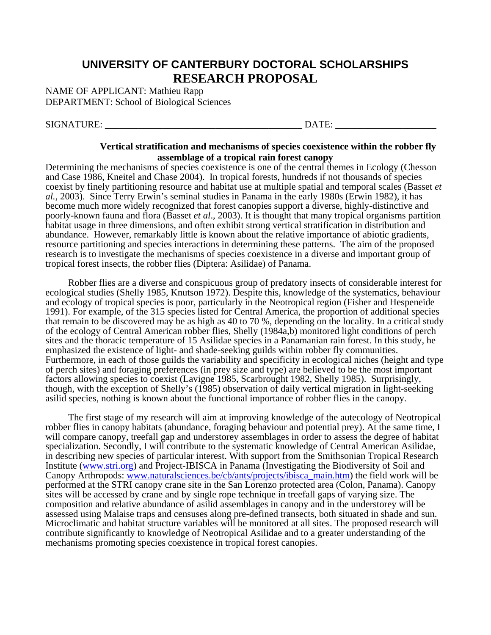## **UNIVERSITY OF CANTERBURY DOCTORAL SCHOLARSHIPS RESEARCH PROPOSAL**

NAME OF APPLICANT: Mathieu Rapp DEPARTMENT: School of Biological Sciences

SIGNATURE: \_\_\_\_\_\_\_\_\_\_\_\_\_\_\_\_\_\_\_\_\_\_\_\_\_\_\_\_\_\_\_\_\_\_\_\_\_\_\_\_\_ DATE: \_\_\_\_\_\_\_\_\_\_\_\_\_\_\_\_\_\_\_\_\_

## **Vertical stratification and mechanisms of species coexistence within the robber fly assemblage of a tropical rain forest canopy**

Determining the mechanisms of species coexistence is one of the central themes in Ecology (Chesson and Case 1986, Kneitel and Chase 2004). In tropical forests, hundreds if not thousands of species coexist by finely partitioning resource and habitat use at multiple spatial and temporal scales (Basset *et al.,* 2003). Since Terry Erwin's seminal studies in Panama in the early 1980s (Erwin 1982), it has become much more widely recognized that forest canopies support a diverse, highly-distinctive and poorly-known fauna and flora (Basset *et al*., 2003). It is thought that many tropical organisms partition habitat usage in three dimensions, and often exhibit strong vertical stratification in distribution and abundance. However, remarkably little is known about the relative importance of abiotic gradients, resource partitioning and species interactions in determining these patterns. The aim of the proposed research is to investigate the mechanisms of species coexistence in a diverse and important group of tropical forest insects, the robber flies (Diptera: Asilidae) of Panama.

 Robber flies are a diverse and conspicuous group of predatory insects of considerable interest for ecological studies (Shelly 1985, Knutson 1972). Despite this, knowledge of the systematics, behaviour and ecology of tropical species is poor, particularly in the Neotropical region (Fisher and Hespeneide 1991). For example, of the 315 species listed for Central America, the proportion of additional species that remain to be discovered may be as high as 40 to 70 %, depending on the locality. In a critical study of the ecology of Central American robber flies, Shelly (1984a,b) monitored light conditions of perch sites and the thoracic temperature of 15 Asilidae species in a Panamanian rain forest. In this study, he emphasized the existence of light- and shade-seeking guilds within robber fly communities. Furthermore, in each of those guilds the variability and specificity in ecological niches (height and type of perch sites) and foraging preferences (in prey size and type) are believed to be the most important factors allowing species to coexist (Lavigne 1985, Scarbrought 1982, Shelly 1985). Surprisingly, though, with the exception of Shelly's (1985) observation of daily vertical migration in light-seeking asilid species, nothing is known about the functional importance of robber flies in the canopy.

 The first stage of my research will aim at improving knowledge of the autecology of Neotropical robber flies in canopy habitats (abundance, foraging behaviour and potential prey). At the same time, I will compare canopy, treefall gap and understorey assemblages in order to assess the degree of habitat specialization. Secondly, I will contribute to the systematic knowledge of Central American Asilidae, in describing new species of particular interest. With support from the Smithsonian Tropical Research Institute [\(www.stri.org](http://www.stri.org/)) and Project-IBISCA in Panama (Investigating the Biodiversity of Soil and Canopy Arthropods: [www.naturalsciences.be/cb/ants/projects/ibisca\\_main.htm](http://www.naturalsciences.be/cb/ants/projects/ibisca_main.htm)) the field work will be performed at the STRI canopy crane site in the San Lorenzo protected area (Colon, Panama). Canopy sites will be accessed by crane and by single rope technique in treefall gaps of varying size. The composition and relative abundance of asilid assemblages in canopy and in the understorey will be assessed using Malaise traps and censuses along pre-defined transects, both situated in shade and sun. Microclimatic and habitat structure variables will be monitored at all sites. The proposed research will contribute significantly to knowledge of Neotropical Asilidae and to a greater understanding of the mechanisms promoting species coexistence in tropical forest canopies.